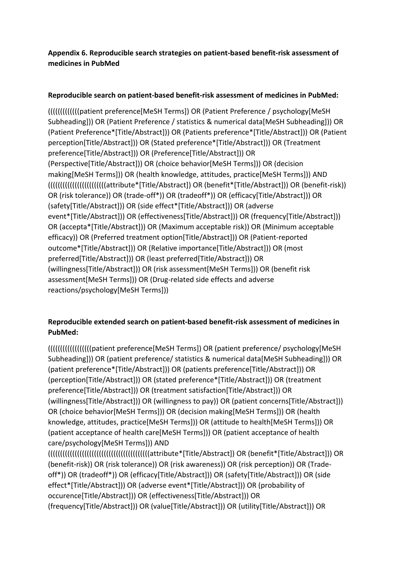## **Appendix 6. Reproducible search strategies on patient-based benefit-risk assessment of medicines in PubMed**

## **Reproducible search on patient-based benefit-risk assessment of medicines in PubMed:**

(((((((((((((patient preference[MeSH Terms]) OR (Patient Preference / psychology[MeSH Subheading])) OR (Patient Preference / statistics & numerical data[MeSH Subheading])) OR (Patient Preference\*[Title/Abstract])) OR (Patients preference\*[Title/Abstract])) OR (Patient perception[Title/Abstract])) OR (Stated preference\*[Title/Abstract])) OR (Treatment preference[Title/Abstract])) OR (Preference[Title/Abstract])) OR (Perspective[Title/Abstract])) OR (choice behavior[MeSH Terms])) OR (decision making[MeSH Terms])) OR (health knowledge, attitudes, practice[MeSH Terms])) AND ((((((((((((((((((((((((attribute\*[Title/Abstract]) OR (benefit\*[Title/Abstract])) OR (benefit-risk)) OR (risk tolerance)) OR (trade-off\*)) OR (tradeoff\*)) OR (efficacy[Title/Abstract])) OR (safety[Title/Abstract])) OR (side effect\*[Title/Abstract])) OR (adverse event\*[Title/Abstract])) OR (effectiveness[Title/Abstract])) OR (frequency[Title/Abstract])) OR (accepta\*[Title/Abstract])) OR (Maximum acceptable risk)) OR (Minimum acceptable efficacy)) OR (Preferred treatment option[Title/Abstract])) OR (Patient-reported outcome\*[Title/Abstract])) OR (Relative importance[Title/Abstract])) OR (most preferred[Title/Abstract])) OR (least preferred[Title/Abstract])) OR (willingness[Title/Abstract])) OR (risk assessment[MeSH Terms])) OR (benefit risk assessment[MeSH Terms])) OR (Drug-related side effects and adverse reactions/psychology[MeSH Terms]))

## **Reproducible extended search on patient-based benefit-risk assessment of medicines in PubMed:**

((((((((((((((((((patient preference[MeSH Terms]) OR (patient preference/ psychology[MeSH Subheading])) OR (patient preference/ statistics & numerical data[MeSH Subheading])) OR (patient preference\*[Title/Abstract])) OR (patients preference[Title/Abstract])) OR (perception[Title/Abstract])) OR (stated preference\*[Title/Abstract])) OR (treatment preference[Title/Abstract])) OR (treatment satisfaction[Title/Abstract])) OR (willingness[Title/Abstract])) OR (willingness to pay)) OR (patient concerns[Title/Abstract])) OR (choice behavior[MeSH Terms])) OR (decision making[MeSH Terms])) OR (health knowledge, attitudes, practice[MeSH Terms])) OR (attitude to health[MeSH Terms])) OR (patient acceptance of health care[MeSH Terms])) OR (patient acceptance of health care/psychology[MeSH Terms])) AND ((((((((((((((((((((((((((((((((((((((((((attribute\*[Title/Abstract]) OR (benefit\*[Title/Abstract])) OR

(benefit-risk)) OR (risk tolerance)) OR (risk awareness)) OR (risk perception)) OR (Tradeoff\*)) OR (tradeoff\*)) OR (efficacy[Title/Abstract])) OR (safety[Title/Abstract])) OR (side effect\*[Title/Abstract])) OR (adverse event\*[Title/Abstract])) OR (probability of occurence[Title/Abstract])) OR (effectiveness[Title/Abstract])) OR (frequency[Title/Abstract])) OR (value[Title/Abstract])) OR (utility[Title/Abstract])) OR